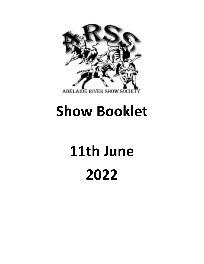

## **Show Booklet**

# **11th June 2022**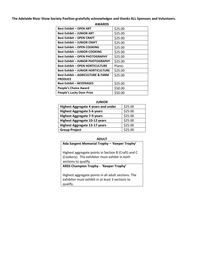### **The Adelaide River Show Society Pavilion gratefully acknowledges and thanks ALL Sponsors and Volunteers.**

### **AWARDS**

| <b>Best Exhibit - OPEN ART</b>               | \$25.00 |
|----------------------------------------------|---------|
| <b>Best Exhibit - JUNIOR ART</b>             | \$25.00 |
| <b>Best Exhibit - OPEN CRAFT</b>             | \$25.00 |
| <b>Best Exhibit - JUNIOR CRAFT</b>           | \$25.00 |
| <b>Best Exhibit - OPEN COOKING</b>           | \$25.00 |
| <b>Best Exhibit - JUNIOR COOKING</b>         | \$25.00 |
| <b>Best Exhibit – OPEN PHOTOGRAPHY</b>       | \$25.00 |
| <b>Best Exhibit - JUNIOR PHOTOGRAPHY</b>     | \$25.00 |
| <b>Best Exhibit - OPEN HORTICULTURE</b>      | Plants  |
| <b>Best Exhibit - JUNIOR HORTICULTURE</b>    | \$25.00 |
| <b>Best Exhibit - AGRICULTURE &amp; FARM</b> | \$25.00 |
| <b>PRODUCE</b>                               |         |
| <b>Best Exhibit - BEVERAGES</b>              | \$25.00 |
| <b>People's Choice Award</b>                 | \$50.00 |
| <b>People's Lucky Door Prize</b>             | \$50.00 |

### **JUNIOR**

| <b>Highest Aggregate 4 years and under</b> | \$25.00 |
|--------------------------------------------|---------|
| <b>Highest Aggregate 5-6 years</b>         | \$25.00 |
| <b>Highest Aggregate 7-9 years</b>         | \$25.00 |
| <b>Highest Aggregate 10-12 years</b>       | \$25.00 |
| <b>Highest Aggregate 13-17 years</b>       | \$25.00 |
| <b>Group Project</b>                       | \$25.00 |

### **ADULT**

| Ada Sargent Memorial Trophy - 'Keeper Trophy'                                                                                |  |  |  |
|------------------------------------------------------------------------------------------------------------------------------|--|--|--|
| Highest aggregate points in Section B (Craft) and C<br>(Cookery). The exhibitor must exhibit in both<br>sections to qualify. |  |  |  |
| ARSS Champion Trophy - 'Keeper Trophy'                                                                                       |  |  |  |
| Highest aggregate points in all adult sections. The<br>exhibitor must exhibit in at least 3 sections to                      |  |  |  |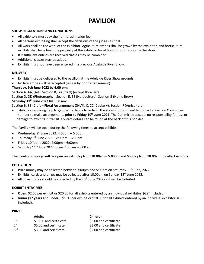### **PAVILION**

### **SHOW REGULATIONS AND CONDITIONS**

- All exhibitors must pay the normal admission fee.
- All persons exhibiting shall accept the decisions of the judges as final.
- All work shall be the work of the exhibitor. Agriculture entries shall be grown by the exhibitor, and horticultural exhibits shall have been the property of the exhibitor for at least 3 months prior to the show.
- If insufficient entries are received classes may be combined.
- Additional classes may be added.
- Exhibits must not have been entered in a previous Adelaide River Show.

### **DELIVERY**

- Exhibits must be delivered to the pavilion at the Adelaide River Show grounds.
- No late entries will be accepted (unless by prior arrangement)

### **Thursday, 9th June 2022 by 6.00 pm:**

Section A, AA, (Art), Section B, BB (Craft) (except floral art),

Section D, DD (Photography), Section E, EE (Horticulture), Section G (Home Brew)

### **Saturday 11 th June 2022 by 8:00 am:**

Section B, BB (Craft – **Floral Arrangement ONLY**), C, CC (Cookery), Section F (Agriculture)

• Exhibitors requiring help to get their exhibits to or from the show grounds need to contact a Pavilion Committee member to make arrangements **prior to Friday 10<sup>th</sup> June 2022**. The Committee accepts no responsibility for loss or damage to exhibits in transit. Contact details can be found at the back of this booklet.

The **Pavilion** will be open during the following times to accept exhibits:

- Wednesday  $8^{th}$  June 2022: 4:00pm 6:00pm
- Thursday 9<sup>th</sup> June 2022: 12:00pm  $-6:00$ pm
- $\bullet$  Friday 10<sup>th</sup> June 2022: 4:00pm 6:00pm
- Saturday  $11<sup>th</sup>$  June 2022: open 7:00 am  $-8:00$  am

### **The pavilion displays will be open on Saturday from 10:00am – 5:00pm and Sunday from 10:00am to collect exhibits.**

### **COLLECTION:**

- Prize money may be collected between 3:00pm and 5:00pm on Saturday  $11<sup>th</sup>$  June, 2022.
- Exhibits, cards and prizes may be collected after 10:00am on Sunday 12<sup>th</sup> June 2022.
- All prize money should be collected by the  $20<sup>th</sup>$  June 2022 or it will be forfeited.

### **EXHIBIT ENTRY FEES**

- **Open:** \$2.00 per exhibit or \$20.00 for all exhibits entered by an individual exhibitor. (GST included)
- **Junior (17 years and under):** \$1.00 per exhibit or \$10.00 for all exhibits entered by an individual exhibitor. (GST included).

### **PRIZES**

|                 | <b>Adults</b>           | Children               |
|-----------------|-------------------------|------------------------|
| 1 <sup>st</sup> | \$10.00 and certificate | \$5.00 and certificate |
| 2 <sub>nd</sub> | \$5.00 and certificate  | \$3.00 and certificate |
| <b>3rd</b>      | \$3.00 and certificate  | \$2.00 and certificate |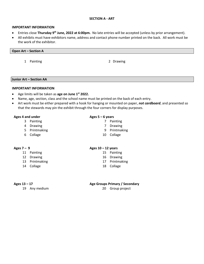### **SECTION A - ART**

### **IMPORTANT INFORMATION**

- Entries close **Thursday 9 th June, 2022 at 6:00pm.** No late entries will be accepted (unless by prior arrangement).
- All exhibits must have exhibitors name, address and contact phone number printed on the back. All work must be the work of the exhibitor.

### **Open Art – Section A**

1 Painting

2 Drawing

### **Junior Art – Section AA**

### **IMPORTANT INFORMATION**

- Age limits will be taken as **age on June 1st 2022.**
- Name, age, section, class and the school name must be printed on the back of each entry.
- Art work must be either prepared with a hook for hanging or mounted on paper, *not cardboard*, and presented so that the stewards may pin the exhibit through the four corners for display purposes.

### **Ages 4 and under Ages 5 – 6 years**

- 3 Painting 2008 12 Painting 2008 12:00 12:00 12:00 12:00 12:00 12:00 12:00 12:00 12:00 12:00 12:00 12:00 12:00
- 4 Drawing 2008 and 2009 and 2008 and 2009 and 2010 and 2010 and 2010 and 2010 and 2010 and 2010 and 2010 and 2010 and 2010 and 2010 and 2010 and 2010 and 2010 and 2010 and 2010 and 2010 and 2010 and 2010 and 2010 and 2010
- 5 Printmaking 19 Printmaking 19 Printmaking
- 6 Collage 10 Collage

- 
- 12 Drawing 16 Drawing 16 Drawing
- 13 Printmaking 17 Printmaking
- 14 Collage 18 Collage

19 Any medium 20 Group project

### **Ages 7 – 9 Ages 10 – 12 years**

- 11 Painting 15 Painting 15 Painting
	-
	-
	-

### **Ages 13 – 17 Age Groups Primary / Secondary**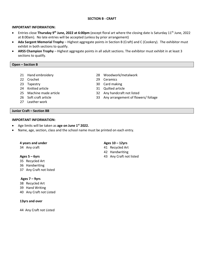### **SECTION B - CRAFT**

### **IMPORTANT INFORMATION:**

- Entries close **Thursday 9 th June, 2022 at 6:00pm** (except floral art where the closing date is Saturday 11 th June, 2022 at 8:00am). No late entries will be accepted (unless by prior arrangement)
- **Ada Sargent Memorial Trophy** Highest aggregate points in Section B (Craft) and C (Cookery). The exhibitor must exhibit in both sections to qualify.
- **ARSS Champion Trophy**  Highest aggregate points in all adult sections. The exhibitor must exhibit in at least 3 sections to qualify.

### **Open – Section B**

- 
- 22 Crochet 29 Ceramics
- 
- 24 Knitted article 31 Quilted article
- 25 Machine made article 32 Any handcraft not listed
- 
- 27 Leather work

### **Junior Craft – Section BB**

### **IMPORTANT INFORMATION:**

- Age limits will be taken as **age on June 1st 2022.**
- Name, age, section, class and the school name must be printed on each entry.

### **4 years and under Ages 10 – 12yrs**

- 35 Recycled Art
- 36 Handwriting
- 37 Any Craft not listed

### **Ages 7 – 9yrs**

- 38 Recycled Art
- 39 Hand Writing
- 40 Any Craft not Listed

### **13yrs and over**

44 Any Craft not Listed

- 34 Any craft 41 Recycled Art
	- 42 Handwriting
- **Ages 5 – 6yrs** 43 Any Craft not listed
- 21 Hand embroidery 28 Woodwork/metalwork
	-
- 23 Tapestry 30 Card making
	-
	-
- 26 Soft craft article 33 Any arrangement of flowers/ foliage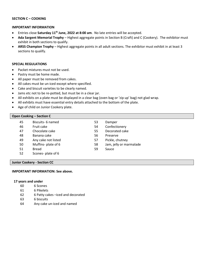### **SECTION C – COOKING**

### **IMPORTANT INFORMATION**

- Entries close **Saturday 11 th June, 2022 at 8:00 am**. No late entries will be accepted.
- **Ada Sargent Memorial Trophy** Highest aggregate points in Section B (Craft) and C (Cookery). The exhibitor must exhibit in both sections to qualify.
- **ARSS Champion Trophy**  Highest aggregate points in all adult sections. The exhibitor must exhibit in at least 3 sections to qualify.

### **SPECIAL REGULATIONS**

- Packet mixtures must not be used.
- Pastry must be home made.
- All paper must be removed from cakes.
- All cakes must be un-iced except where specified.
- Cake and biscuit varieties to be clearly named.
- Jams etc not to be re-potted, but must be in a clear jar.
- All exhibits on a plate must be displayed in a clear bag (oven bag or 'zip up' bag) not glad wrap.
- All exhibits must have essential entry details attached to the bottom of the plate.
- Age of child on Junior Cookery plate.

### **Open Cooking – Section C**

- 45 Biscuits- 6 named 53 Damper
- 46 Fruit cake 54 Confectionery
- 47 Chocolate cake 55 Decorated cake
- 48 Banana cake 56 Preserve
- 49 Any cake not listed 57 Pickle, chutney
- 
- 51 Bread 59 Sauce
- 52 Scones- plate of 6
- 
- 
- 
- 
- 
- 50 Muffins- plate of 6 58 Jam, jelly or marmalade
	-

### **Junior Cookery - Section CC**

### **IMPORTANT INFORMATION: See above.**

### **17 years and under**

- 60 6 Scones
- 61 6 Pikelets
- 62 6 Patty cakes –iced and decorated
- 63 6 biscuits
- 64 Any cake un-iced and named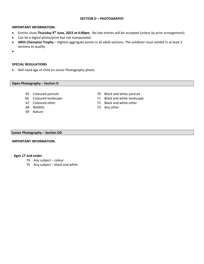### **SECTION D – PHOTOGRAPHY**

### **IMPORTANT INFORMATION:**

- Entries close **Thursday 9 th June, 2022 at 6:00pm**. No late entries will be accepted (unless by prior arrangement).
- Can be a digital photo/print but not manipulated.
- **ARSS Champion Trophy**  Highest aggregate points in all adult sections. The exhibitor must exhibit in at least 3 sections to qualify.
- •

### **SPECIAL REGULATIONS**

• Will need age of child on Junior Photography photo.

### **Open Photography – Section D**

- 
- 
- 
- 
- 69 Nature
- 65 Coloured portrait 70 Black and white portrait
- 66 Coloured landscape 71 Black and white landscape
- 67 Coloured other 72 Black and white other
- 68 Wildlife 73 Any other

### **Junior Photography – Section DD**

### **IMPORTANT INFORMATION:**

### **Ages 17 and under**

- 74 Any subject colour
- 75 Any subject black and white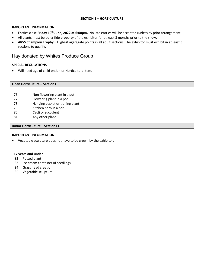### **SECTION E – HORTICULTURE**

### **IMPORTANT INFORMATION**

- **•** Entries close Friday 10<sup>th</sup> June, 2022 at 6:00pm. No late entries will be accepted (unless by prior arrangement).
- All plants must be bona-fide property of the exhibitor for at least 3 months prior to the show.
- **ARSS Champion Trophy**  Highest aggregate points in all adult sections. The exhibitor must exhibit in at least 3 sections to qualify.

### Hay donated by Whites Produce Group

### **SPECIAL REGULATIONS**

• Will need age of child on Junior Horticulture item.

### **Open Horticulture – Section E**

- 76 Non flowering plant in a pot
- 77 Flowering plant in a pot
- 78 Hanging basket or trailing plant
- 79 Kitchen herb in a pot
- 80 Cacti or succulent
- 81 Any other plant

### **Junior Horticulture – Section EE**

### **IMPORTANT INFORMATION**

• Vegetable sculpture does not have to be grown by the exhibitor.

### **17 years and under**

- 82 Potted plant
- 83 Ice cream container of seedlings
- 84 Grass head creation
- 85 Vegetable sculpture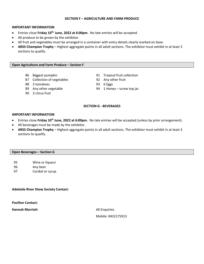### **SECTION F – AGRICULTURE AND FARM PRODUCE**

### **IMPORTANT INFORMATION**

- **•** Entries close Friday 10<sup>th,</sup> June, 2022 at 6:00pm. No late entries will be accepted.
- All produce to be grown by the exhibitor.
- All fruit and vegetables must be arranged in a container with entry details clearly marked on base.
- **ARSS Champion Trophy**  Highest aggregate points in all adult sections. The exhibitor must exhibit in at least 3 sections to qualify.

### **Open Agriculture and Farm Produce – Section F**

- 
- 87 Collection of vegetables 92 Any other fruit
- 88 3 tomatoes 93 6 Eggs
- 
- 90 3 citrus fruit
- 86 Biggest pumpkin 191 Tropical fruit collection
	-
	-
- 89 Any other vegetable 194 94 1 Honey screw top jar

### **SECTION G - BEVERAGES**

### **IMPORTANT INFORMATION**

- **•** Entries close Friday 10<sup>th</sup> June, 2022 at 6:00pm. No late entries will be accepted (unless by prior arrangement).
- All beverages must be made by the exhibitor.
- **ARSS Champion Trophy**  Highest aggregate points in all adult sections. The exhibitor must exhibit in at least 3 sections to qualify.

### **Open Beverages – Section G**

- 95 Wine or liqueur
- 96 Any beer
- 97 Cordial or syrup

### **Adelaide River Show Society Contact:**

**Pavilion Contact:**

**Hannah Marriott All Enquiries** 

Mobile: 0432175913